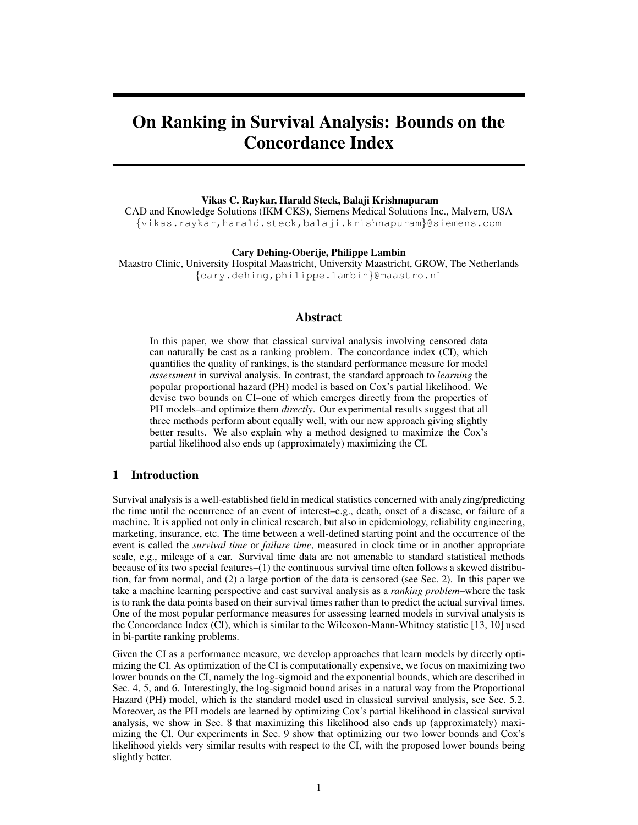# On Ranking in Survival Analysis: Bounds on the Concordance Index

#### Vikas C. Raykar, Harald Steck, Balaji Krishnapuram

CAD and Knowledge Solutions (IKM CKS), Siemens Medical Solutions Inc., Malvern, USA {vikas.raykar,harald.steck,balaji.krishnapuram}@siemens.com

Cary Dehing-Oberije, Philippe Lambin

Maastro Clinic, University Hospital Maastricht, University Maastricht, GROW, The Netherlands {cary.dehing,philippe.lambin}@maastro.nl

# Abstract

In this paper, we show that classical survival analysis involving censored data can naturally be cast as a ranking problem. The concordance index (CI), which quantifies the quality of rankings, is the standard performance measure for model *assessment* in survival analysis. In contrast, the standard approach to *learning* the popular proportional hazard (PH) model is based on Cox's partial likelihood. We devise two bounds on CI–one of which emerges directly from the properties of PH models–and optimize them *directly*. Our experimental results suggest that all three methods perform about equally well, with our new approach giving slightly better results. We also explain why a method designed to maximize the Cox's partial likelihood also ends up (approximately) maximizing the CI.

# 1 Introduction

Survival analysis is a well-established field in medical statistics concerned with analyzing/predicting the time until the occurrence of an event of interest–e.g., death, onset of a disease, or failure of a machine. It is applied not only in clinical research, but also in epidemiology, reliability engineering, marketing, insurance, etc. The time between a well-defined starting point and the occurrence of the event is called the *survival time* or *failure time*, measured in clock time or in another appropriate scale, e.g., mileage of a car. Survival time data are not amenable to standard statistical methods because of its two special features–(1) the continuous survival time often follows a skewed distribution, far from normal, and (2) a large portion of the data is censored (see Sec. 2). In this paper we take a machine learning perspective and cast survival analysis as a *ranking problem*–where the task is to rank the data points based on their survival times rather than to predict the actual survival times. One of the most popular performance measures for assessing learned models in survival analysis is the Concordance Index (CI), which is similar to the Wilcoxon-Mann-Whitney statistic [13, 10] used in bi-partite ranking problems.

Given the CI as a performance measure, we develop approaches that learn models by directly optimizing the CI. As optimization of the CI is computationally expensive, we focus on maximizing two lower bounds on the CI, namely the log-sigmoid and the exponential bounds, which are described in Sec. 4, 5, and 6. Interestingly, the log-sigmoid bound arises in a natural way from the Proportional Hazard (PH) model, which is the standard model used in classical survival analysis, see Sec. 5.2. Moreover, as the PH models are learned by optimizing Cox's partial likelihood in classical survival analysis, we show in Sec. 8 that maximizing this likelihood also ends up (approximately) maximizing the CI. Our experiments in Sec. 9 show that optimizing our two lower bounds and Cox's likelihood yields very similar results with respect to the CI, with the proposed lower bounds being slightly better.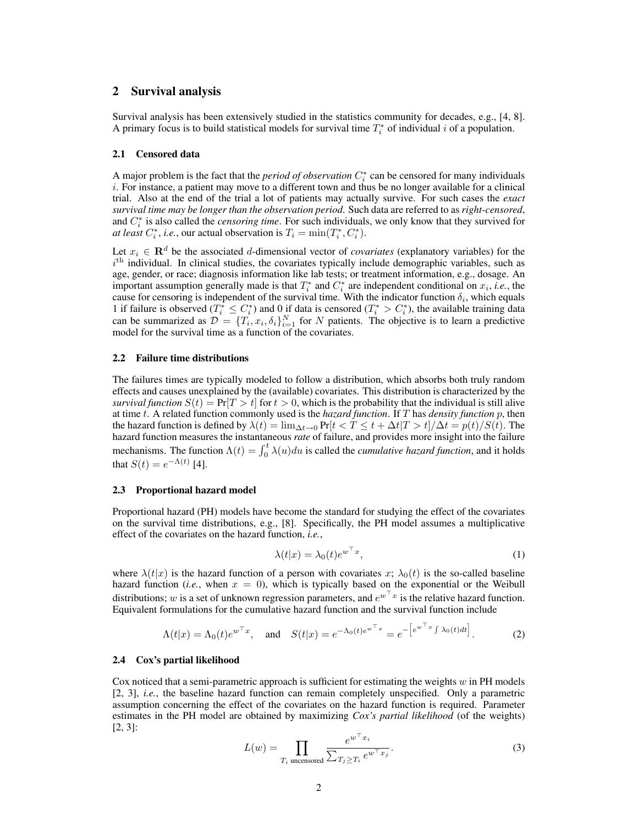## 2 Survival analysis

Survival analysis has been extensively studied in the statistics community for decades, e.g., [4, 8]. A primary focus is to build statistical models for survival time  $T_i^*$  of individual i of a population.

#### 2.1 Censored data

A major problem is the fact that the *period of observation*  $C_i^*$  can be censored for many individuals i. For instance, a patient may move to a different town and thus be no longer available for a clinical trial. Also at the end of the trial a lot of patients may actually survive. For such cases the *exact survival time may be longer than the observation period.* Such data are referred to as *right-censored*, and  $C_i^*$  is also called the *censoring time*. For such individuals, we only know that they survived for *at least*  $C_i^*$ , *i.e.*, our actual observation is  $T_i = \min(T_i^*, C_i^*)$ .

Let  $x_i \in \mathbf{R}^d$  be the associated d-dimensional vector of *covariates* (explanatory variables) for the  $i<sup>th</sup>$  individual. In clinical studies, the covariates typically include demographic variables, such as age, gender, or race; diagnosis information like lab tests; or treatment information, e.g., dosage. An important assumption generally made is that  $T_i^*$  and  $C_i^*$  are independent conditional on  $x_i$ , *i.e.*, the cause for censoring is independent of the survival time. With the indicator function  $\delta_i$ , which equals 1 if failure is observed  $(T_i^* \leq C_i^*)$  and 0 if data is censored  $(T_i^* > C_i^*)$ , the available training data can be summarized as  $\mathcal{D} = \{T_i, x_i, \delta_i\}_{i=1}^N$  for N patients. The objective is to learn a predictive model for the survival time as a function of the covariates.

#### 2.2 Failure time distributions

The failures times are typically modeled to follow a distribution, which absorbs both truly random effects and causes unexplained by the (available) covariates. This distribution is characterized by the *survival function*  $S(t) = \Pr[T > t]$  for  $t > 0$ , which is the probability that the individual is still alive at time t. A related function commonly used is the *hazard function*. If T has *density function* p, then the hazard function is defined by  $\lambda(t) = \lim_{\Delta t \to 0} \Pr[t < T \le t + \Delta t | T > t] / \Delta t = p(t) / S(t)$ . The hazard function measures the instantaneous *rate* of failure, and provides more insight into the failure mechanisms. The function  $\Lambda(t) = \int_0^t \lambda(u) du$  is called the *cumulative hazard function*, and it holds that  $S(t) = e^{-\Lambda(t)}$  [4].

#### 2.3 Proportional hazard model

Proportional hazard (PH) models have become the standard for studying the effect of the covariates on the survival time distributions, e.g., [8]. Specifically, the PH model assumes a multiplicative effect of the covariates on the hazard function, *i.e.*,

$$
\lambda(t|x) = \lambda_0(t)e^{w^\top x},\tag{1}
$$

where  $\lambda(t|x)$  is the hazard function of a person with covariates x;  $\lambda_0(t)$  is the so-called baseline hazard function (*i.e.*, when  $x = 0$ ), which is typically based on the exponential or the Weibull distributions; w is a set of unknown regression parameters, and  $e^{w^{\top}x}$  is the relative hazard function. Equivalent formulations for the cumulative hazard function and the survival function include

$$
\Lambda(t|x) = \Lambda_0(t)e^{w^\top x}, \quad \text{and} \quad S(t|x) = e^{-\Lambda_0(t)e^{w^\top x}} = e^{-\left[e^{w^\top x}\int \lambda_0(t)dt\right]}.
$$
 (2)

#### 2.4 Cox's partial likelihood

Cox noticed that a semi-parametric approach is sufficient for estimating the weights  $w$  in PH models [2, 3], *i.e.*, the baseline hazard function can remain completely unspecified. Only a parametric assumption concerning the effect of the covariates on the hazard function is required. Parameter estimates in the PH model are obtained by maximizing *Cox's partial likelihood* (of the weights) [2, 3]:

$$
L(w) = \prod_{T_i \text{ uncensored}} \frac{e^{w^\top x_i}}{\sum_{T_j \ge T_i} e^{w^\top x_j}}.
$$
 (3)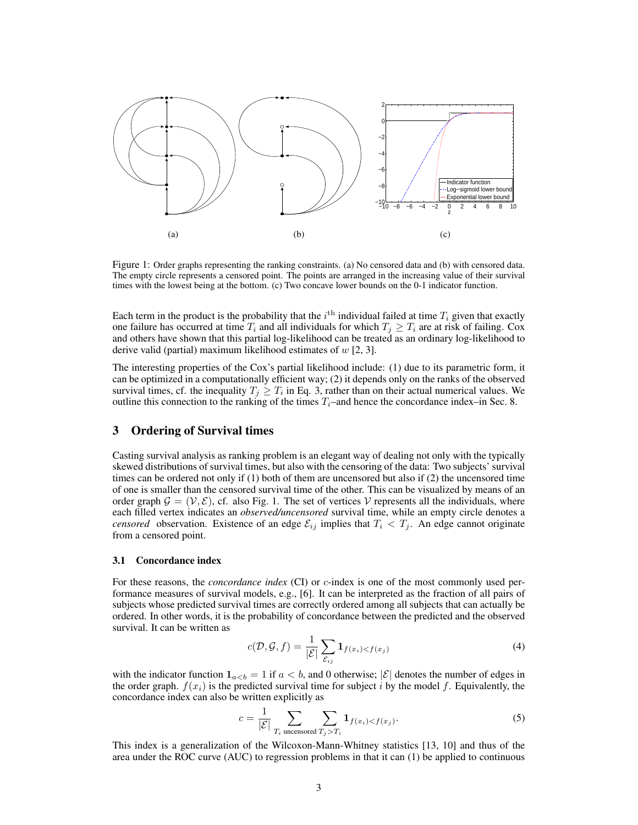

Figure 1: Order graphs representing the ranking constraints. (a) No censored data and (b) with censored data. The empty circle represents a censored point. The points are arranged in the increasing value of their survival times with the lowest being at the bottom. (c) Two concave lower bounds on the 0-1 indicator function.

Each term in the product is the probability that the  $i^{\text{th}}$  individual failed at time  $T_i$  given that exactly one failure has occurred at time  $T_i$  and all individuals for which  $T_j \geq T_i$  are at risk of failing. Cox and others have shown that this partial log-likelihood can be treated as an ordinary log-likelihood to derive valid (partial) maximum likelihood estimates of  $w$  [2, 3].

The interesting properties of the Cox's partial likelihood include: (1) due to its parametric form, it can be optimized in a computationally efficient way; (2) it depends only on the ranks of the observed survival times, cf. the inequality  $T_j \geq T_i$  in Eq. 3, rather than on their actual numerical values. We outline this connection to the ranking of the times  $T_i$ –and hence the concordance index–in Sec. 8.

## 3 Ordering of Survival times

Casting survival analysis as ranking problem is an elegant way of dealing not only with the typically skewed distributions of survival times, but also with the censoring of the data: Two subjects' survival times can be ordered not only if (1) both of them are uncensored but also if (2) the uncensored time of one is smaller than the censored survival time of the other. This can be visualized by means of an order graph  $\mathcal{G} = (\mathcal{V}, \mathcal{E})$ , cf. also Fig. 1. The set of vertices  $\mathcal{V}$  represents all the individuals, where each filled vertex indicates an *observed/uncensored* survival time, while an empty circle denotes a *censored* observation. Existence of an edge  $\mathcal{E}_{ij}$  implies that  $T_i < T_j$ . An edge cannot originate from a censored point.

#### 3.1 Concordance index

For these reasons, the *concordance index* (CI) or *c*-index is one of the most commonly used performance measures of survival models, e.g., [6]. It can be interpreted as the fraction of all pairs of subjects whose predicted survival times are correctly ordered among all subjects that can actually be ordered. In other words, it is the probability of concordance between the predicted and the observed survival. It can be written as

$$
c(\mathcal{D}, \mathcal{G}, f) = \frac{1}{|\mathcal{E}|} \sum_{\mathcal{E}_{ij}} \mathbf{1}_{f(x_i) < f(x_j)} \tag{4}
$$

with the indicator function  $1_{a if  $a < b$ , and 0 otherwise;  $|\mathcal{E}|$  denotes the number of edges in$ the order graph.  $f(x_i)$  is the predicted survival time for subject i by the model f. Equivalently, the concordance index can also be written explicitly as

$$
c = \frac{1}{|\mathcal{E}|} \sum_{T_i \text{ uncensored}} \sum_{T_j > T_i} \mathbf{1}_{f(x_i) < f(x_j)}.\tag{5}
$$

This index is a generalization of the Wilcoxon-Mann-Whitney statistics [13, 10] and thus of the area under the ROC curve (AUC) to regression problems in that it can (1) be applied to continuous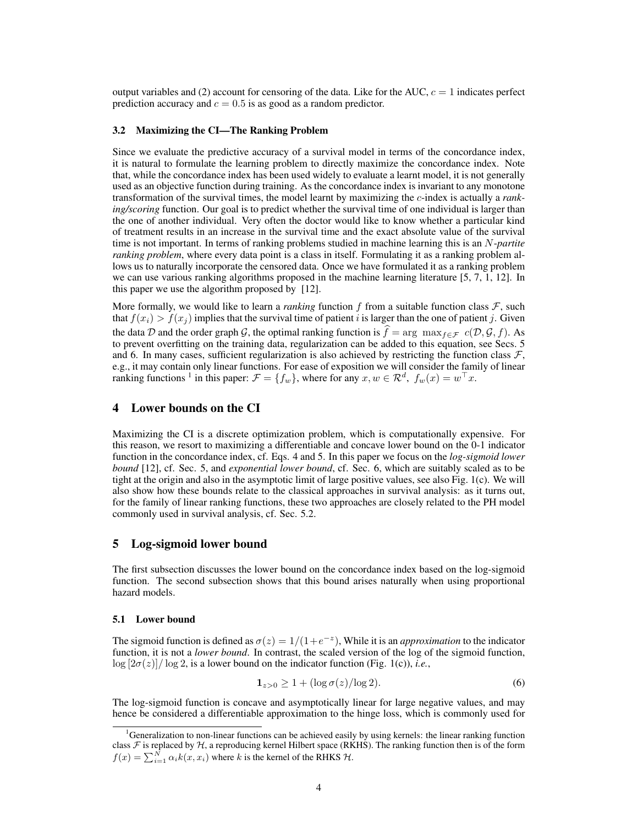output variables and (2) account for censoring of the data. Like for the AUC,  $c = 1$  indicates perfect prediction accuracy and  $c = 0.5$  is as good as a random predictor.

#### 3.2 Maximizing the CI—The Ranking Problem

Since we evaluate the predictive accuracy of a survival model in terms of the concordance index, it is natural to formulate the learning problem to directly maximize the concordance index. Note that, while the concordance index has been used widely to evaluate a learnt model, it is not generally used as an objective function during training. As the concordance index is invariant to any monotone transformation of the survival times, the model learnt by maximizing the c-index is actually a *ranking/scoring* function. Our goal is to predict whether the survival time of one individual is larger than the one of another individual. Very often the doctor would like to know whether a particular kind of treatment results in an increase in the survival time and the exact absolute value of the survival time is not important. In terms of ranking problems studied in machine learning this is an N-*partite ranking problem*, where every data point is a class in itself. Formulating it as a ranking problem allows us to naturally incorporate the censored data. Once we have formulated it as a ranking problem we can use various ranking algorithms proposed in the machine learning literature [5, 7, 1, 12]. In this paper we use the algorithm proposed by [12].

More formally, we would like to learn a *ranking* function f from a suitable function class  $\mathcal{F}$ , such that  $f(x_i) > f(x_j)$  implies that the survival time of patient i is larger than the one of patient j. Given the data D and the order graph G, the optimal ranking function is  $f = \arg \max_{f \in \mathcal{F}} c(\mathcal{D}, \mathcal{G}, f)$ . As to prevent overfitting on the training data, regularization can be added to this equation, see Secs. 5 and 6. In many cases, sufficient regularization is also achieved by restricting the function class  $\mathcal{F}$ , e.g., it may contain only linear functions. For ease of exposition we will consider the family of linear ranking functions <sup>1</sup> in this paper:  $\mathcal{F} = \{f_w\}$ , where for any  $x, w \in \mathcal{R}^d$ ,  $f_w(x) = w^\top x$ .

# 4 Lower bounds on the CI

Maximizing the CI is a discrete optimization problem, which is computationally expensive. For this reason, we resort to maximizing a differentiable and concave lower bound on the 0-1 indicator function in the concordance index, cf. Eqs. 4 and 5. In this paper we focus on the *log-sigmoid lower bound* [12], cf. Sec. 5, and *exponential lower bound*, cf. Sec. 6, which are suitably scaled as to be tight at the origin and also in the asymptotic limit of large positive values, see also Fig. 1(c). We will also show how these bounds relate to the classical approaches in survival analysis: as it turns out, for the family of linear ranking functions, these two approaches are closely related to the PH model commonly used in survival analysis, cf. Sec. 5.2.

## 5 Log-sigmoid lower bound

The first subsection discusses the lower bound on the concordance index based on the log-sigmoid function. The second subsection shows that this bound arises naturally when using proportional hazard models.

#### 5.1 Lower bound

The sigmoid function is defined as  $\sigma(z) = 1/(1+e^{-z})$ , While it is an *approximation* to the indicator function, it is not a *lower bound*. In contrast, the scaled version of the log of the sigmoid function,  $\log [2\sigma(z)]/\log 2$ , is a lower bound on the indicator function (Fig. 1(c)), *i.e.*,

$$
\mathbf{1}_{z>0} \ge 1 + (\log \sigma(z)/\log 2). \tag{6}
$$

The log-sigmoid function is concave and asymptotically linear for large negative values, and may hence be considered a differentiable approximation to the hinge loss, which is commonly used for

<sup>&</sup>lt;sup>1</sup>Generalization to non-linear functions can be achieved easily by using kernels: the linear ranking function class  $F$  is replaced by  $H$ , a reproducing kernel Hilbert space (RKHS). The ranking function then is of the form  $f(x) = \sum_{i=1}^{N} \alpha_i k(x, x_i)$  where k is the kernel of the RHKS  $H$ .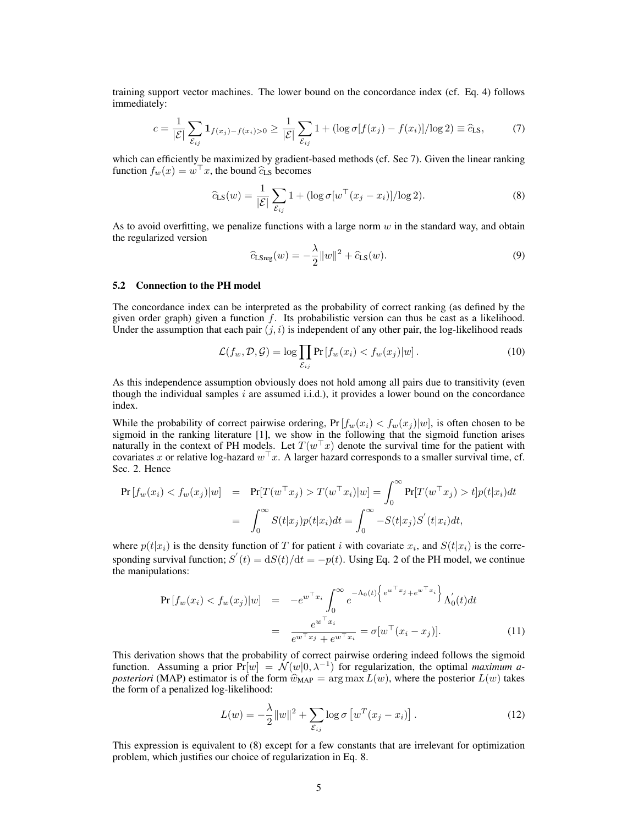training support vector machines. The lower bound on the concordance index (cf. Eq. 4) follows immediately:

$$
c = \frac{1}{|\mathcal{E}|} \sum_{\mathcal{E}_{ij}} \mathbf{1}_{f(x_j) - f(x_i) > 0} \ge \frac{1}{|\mathcal{E}|} \sum_{\mathcal{E}_{ij}} 1 + (\log \sigma[f(x_j) - f(x_i)] / \log 2) \equiv \widehat{c}_{LS},\tag{7}
$$

which can efficiently be maximized by gradient-based methods (cf. Sec 7). Given the linear ranking function  $f_w(x) = w^\top x$ , the bound  $\hat{c}_{LS}$  becomes

$$
\widehat{c}_{LS}(w) = \frac{1}{|\mathcal{E}|} \sum_{\mathcal{E}_{ij}} 1 + (\log \sigma [w^\top (x_j - x_i)] / \log 2). \tag{8}
$$

As to avoid overfitting, we penalize functions with a large norm  $w$  in the standard way, and obtain the regularized version

$$
\hat{c}_{\text{LSreg}}(w) = -\frac{\lambda}{2} ||w||^2 + \hat{c}_{\text{LS}}(w). \tag{9}
$$

#### 5.2 Connection to the PH model

The concordance index can be interpreted as the probability of correct ranking (as defined by the given order graph) given a function  $f$ . Its probabilistic version can thus be cast as a likelihood. Under the assumption that each pair  $(j, i)$  is independent of any other pair, the log-likelihood reads

$$
\mathcal{L}(f_w, \mathcal{D}, \mathcal{G}) = \log \prod_{\mathcal{E}_{ij}} \Pr[f_w(x_i) < f_w(x_j)|w]. \tag{10}
$$

As this independence assumption obviously does not hold among all pairs due to transitivity (even though the individual samples  $i$  are assumed i.i.d.), it provides a lower bound on the concordance index.

While the probability of correct pairwise ordering,  $Pr[f_w(x_i) < f_w(x_j)|w]$ , is often chosen to be sigmoid in the ranking literature [1], we show in the following that the sigmoid function arises naturally in the context of PH models. Let  $T(w^{\top}x)$  denote the survival time for the patient with covariates x or relative log-hazard  $w^{\top}x$ . A larger hazard corresponds to a smaller survival time, cf. Sec. 2. Hence

$$
\Pr[f_w(x_i) < f_w(x_j)|w] = \Pr[T(w^\top x_j) > T(w^\top x_i)|w] = \int_0^\infty \Pr[T(w^\top x_j) > t]p(t|x_i)dt
$$
\n
$$
= \int_0^\infty S(t|x_j)p(t|x_i)dt = \int_0^\infty -S(t|x_j)S'(t|x_i)dt,
$$

where  $p(t|x_i)$  is the density function of T for patient i with covariate  $x_i$ , and  $S(t|x_i)$  is the corresponding survival function;  $S'(t) = dS(t)/dt = -p(t)$ . Using Eq. 2 of the PH model, we continue the manipulations:

$$
\Pr[f_w(x_i) < f_w(x_j)|w] = -e^{w^\top x_i} \int_0^\infty e^{-\Lambda_0(t)} \left\{ e^{w^\top x_j} + e^{w^\top x_i} \right\} \Lambda'_0(t) dt
$$
\n
$$
= \frac{e^{w^\top x_i}}{e^{w^\top x_j} + e^{w^\top x_i}} = \sigma[w^\top (x_i - x_j)]. \tag{11}
$$

This derivation shows that the probability of correct pairwise ordering indeed follows the sigmoid function. Assuming a prior  $Pr[w] = \mathcal{N}(w|0, \lambda^{-1})$  for regularization, the optimal *maximum aposteriori* (MAP) estimator is of the form  $\hat{w}_{MAP} = \arg \max L(w)$ , where the posterior  $L(w)$  takes the form of a penalized log-likelihood:

$$
L(w) = -\frac{\lambda}{2} ||w||^2 + \sum_{\mathcal{E}_{ij}} \log \sigma \left[ w^T (x_j - x_i) \right]. \tag{12}
$$

This expression is equivalent to (8) except for a few constants that are irrelevant for optimization problem, which justifies our choice of regularization in Eq. 8.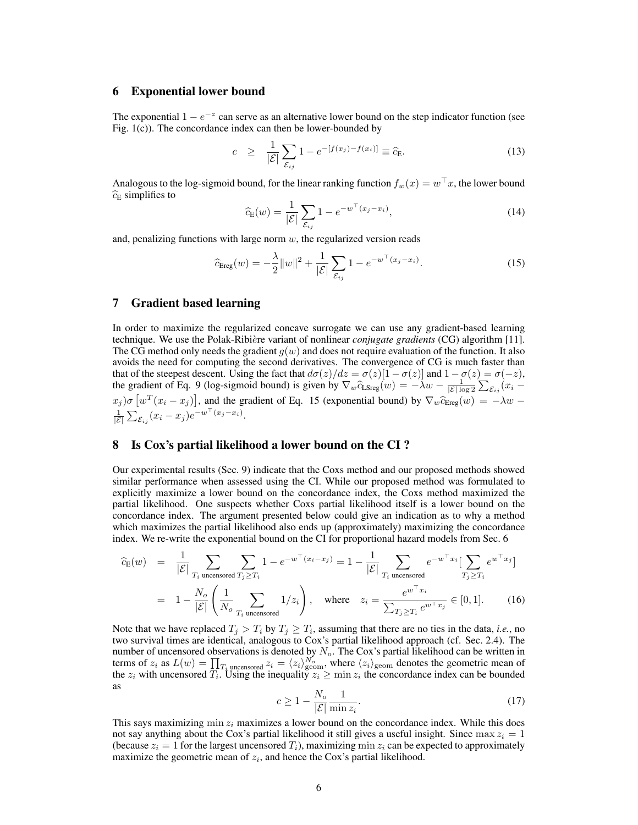## 6 Exponential lower bound

The exponential  $1 - e^{-z}$  can serve as an alternative lower bound on the step indicator function (see Fig. 1(c)). The concordance index can then be lower-bounded by

$$
c \geq \frac{1}{|\mathcal{E}|} \sum_{\mathcal{E}_{ij}} 1 - e^{-[f(x_j) - f(x_i)]} \equiv \widehat{c}_{\mathcal{E}}.
$$
 (13)

Analogous to the log-sigmoid bound, for the linear ranking function  $f_w(x) = w^\top x$ , the lower bound  $\widehat{c}_{\text{E}}$  simplifies to

$$
\widehat{c}_{\mathrm{E}}(w) = \frac{1}{|\mathcal{E}|} \sum_{\mathcal{E}_{ij}} 1 - e^{-w^{\top}(x_j - x_i)},\tag{14}
$$

and, penalizing functions with large norm  $w$ , the regularized version reads

$$
\widehat{c}_{\text{Ereg}}(w) = -\frac{\lambda}{2} ||w||^2 + \frac{1}{|\mathcal{E}|} \sum_{\mathcal{E}_{ij}} 1 - e^{-w^\top (x_j - x_i)}.
$$
\n(15)

# 7 Gradient based learning

In order to maximize the regularized concave surrogate we can use any gradient-based learning technique. We use the Polak-Ribie`re variant of nonlinear *conjugate gradients* (CG) algorithm [11]. The CG method only needs the gradient  $g(w)$  and does not require evaluation of the function. It also avoids the need for computing the second derivatives. The convergence of CG is much faster than that of the steepest descent. Using the fact that  $d\sigma(z)/dz = \sigma(z)[1 - \sigma(z)]$  and  $1 - \sigma(z) = \sigma(-z)$ , the gradient of Eq. 9 (log-sigmoid bound) is given by  $\nabla_w \hat{c}_{\text{LSreg}}(w) = -\lambda w - \frac{1}{|\mathcal{E}| \log 2} \sum_{\mathcal{E}_{ij}} (x_i - \lambda w)$  $(x_j) \sigma \left[ w^T (x_i - x_j) \right]$ , and the gradient of Eq. 15 (exponential bound) by  $\nabla_w \widehat{c}_{\text{Ereg}}(w) = -\lambda w - \frac{1}{|\mathcal{E}|} \sum_{\mathcal{E}_{ij}} (x_i - x_j) e^{-w^T (x_j - x_i)}$ .

## 8 Is Cox's partial likelihood a lower bound on the CI ?

Our experimental results (Sec. 9) indicate that the Coxs method and our proposed methods showed similar performance when assessed using the CI. While our proposed method was formulated to explicitly maximize a lower bound on the concordance index, the Coxs method maximized the partial likelihood. One suspects whether Coxs partial likelihood itself is a lower bound on the concordance index. The argument presented below could give an indication as to why a method which maximizes the partial likelihood also ends up (approximately) maximizing the concordance index. We re-write the exponential bound on the CI for proportional hazard models from Sec. 6

$$
\widehat{c}_{\mathrm{E}}(w) = \frac{1}{|\mathcal{E}|} \sum_{T_i \text{ uncensored}} \sum_{T_j \ge T_i} 1 - e^{-w^{\top}(x_i - x_j)} = 1 - \frac{1}{|\mathcal{E}|} \sum_{T_i \text{ uncensored}} e^{-w^{\top}x_i} \left[ \sum_{T_j \ge T_i} e^{w^{\top}x_j} \right]
$$
\n
$$
= 1 - \frac{N_o}{|\mathcal{E}|} \left( \frac{1}{N_o} \sum_{T_i \text{ uncensored}} 1/z_i \right), \text{ where } z_i = \frac{e^{w^{\top}x_i}}{\sum_{T_j \ge T_i} e^{w^{\top}x_j}} \in [0, 1]. \tag{16}
$$

Note that we have replaced  $T_j > T_i$  by  $T_j \geq T_i$ , assuming that there are no ties in the data, *i.e.*, no two survival times are identical, analogous to Cox's partial likelihood approach (cf. Sec. 2.4). The number of uncensored observations is denoted by  $N<sub>o</sub>$ . The Cox's partial likelihood can be written in terms of  $z_i$  as  $L(w) = \prod_{i} T_i$  uncensored  $z_i = \langle z_i \rangle_{\text{geom}}^{\mathcal{N}_o}$ , where  $\langle z_i \rangle_{\text{geom}}$  denotes the geometric mean of the  $z_i$  with uncensored  $T_i$ . Using the inequality  $z_i \ge \min z_i$  the concordance index can be bounded as

$$
c \ge 1 - \frac{N_o}{|\mathcal{E}|} \frac{1}{\min z_i}.
$$
\n<sup>(17)</sup>

This says maximizing min  $z_i$  maximizes a lower bound on the concordance index. While this does not say anything about the Cox's partial likelihood it still gives a useful insight. Since  $\max z_i = 1$ (because  $z_i = 1$  for the largest uncensored  $T_i$ ), maximizing min  $z_i$  can be expected to approximately maximize the geometric mean of  $z_i$ , and hence the Cox's partial likelihood.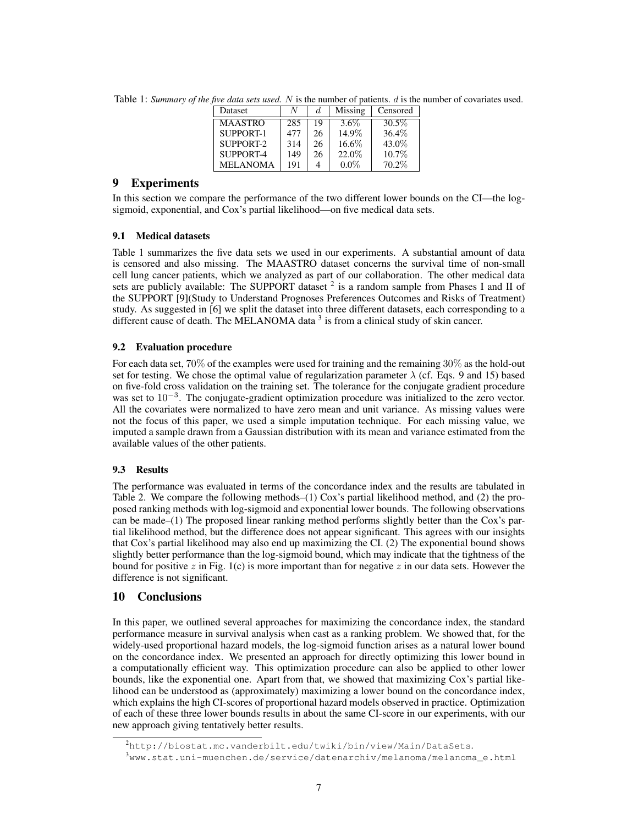| Dataset         |     |    | Missing | Censored |
|-----------------|-----|----|---------|----------|
| <b>MAASTRO</b>  | 285 | 19 | $3.6\%$ | 30.5\%   |
| SUPPORT-1       | 477 | 26 | 14.9%   | 36.4%    |
| SUPPORT-2       | 314 | 26 | 16.6%   | 43.0%    |
| SUPPORT-4       | 149 | 26 | 22.0%   | 10.7%    |
| <b>MELANOMA</b> | 191 |    | $0.0\%$ | 70.2%    |

Table 1: *Summary of the five data sets used.* N is the number of patients. d is the number of covariates used.

# 9 Experiments

In this section we compare the performance of the two different lower bounds on the CI—the logsigmoid, exponential, and Cox's partial likelihood—on five medical data sets.

# 9.1 Medical datasets

Table 1 summarizes the five data sets we used in our experiments. A substantial amount of data is censored and also missing. The MAASTRO dataset concerns the survival time of non-small cell lung cancer patients, which we analyzed as part of our collaboration. The other medical data sets are publicly available: The SUPPORT dataset  $2$  is a random sample from Phases I and II of the SUPPORT [9](Study to Understand Prognoses Preferences Outcomes and Risks of Treatment) study. As suggested in [6] we split the dataset into three different datasets, each corresponding to a different cause of death. The MELANOMA data  $3$  is from a clinical study of skin cancer.

## 9.2 Evaluation procedure

For each data set, 70% of the examples were used for training and the remaining 30% as the hold-out set for testing. We chose the optimal value of regularization parameter  $\lambda$  (cf. Eqs. 9 and 15) based on five-fold cross validation on the training set. The tolerance for the conjugate gradient procedure was set to 10<sup>-3</sup>. The conjugate-gradient optimization procedure was initialized to the zero vector. All the covariates were normalized to have zero mean and unit variance. As missing values were not the focus of this paper, we used a simple imputation technique. For each missing value, we imputed a sample drawn from a Gaussian distribution with its mean and variance estimated from the available values of the other patients.

# 9.3 Results

The performance was evaluated in terms of the concordance index and the results are tabulated in Table 2. We compare the following methods–(1) Cox's partial likelihood method, and (2) the proposed ranking methods with log-sigmoid and exponential lower bounds. The following observations can be made–(1) The proposed linear ranking method performs slightly better than the Cox's partial likelihood method, but the difference does not appear significant. This agrees with our insights that Cox's partial likelihood may also end up maximizing the CI. (2) The exponential bound shows slightly better performance than the log-sigmoid bound, which may indicate that the tightness of the bound for positive z in Fig. 1(c) is more important than for negative z in our data sets. However the difference is not significant.

# 10 Conclusions

In this paper, we outlined several approaches for maximizing the concordance index, the standard performance measure in survival analysis when cast as a ranking problem. We showed that, for the widely-used proportional hazard models, the log-sigmoid function arises as a natural lower bound on the concordance index. We presented an approach for directly optimizing this lower bound in a computationally efficient way. This optimization procedure can also be applied to other lower bounds, like the exponential one. Apart from that, we showed that maximizing Cox's partial likelihood can be understood as (approximately) maximizing a lower bound on the concordance index, which explains the high CI-scores of proportional hazard models observed in practice. Optimization of each of these three lower bounds results in about the same CI-score in our experiments, with our new approach giving tentatively better results.

<sup>2</sup>http://biostat.mc.vanderbilt.edu/twiki/bin/view/Main/DataSets.

<sup>3</sup>www.stat.uni-muenchen.de/service/datenarchiv/melanoma/melanoma\_e.html